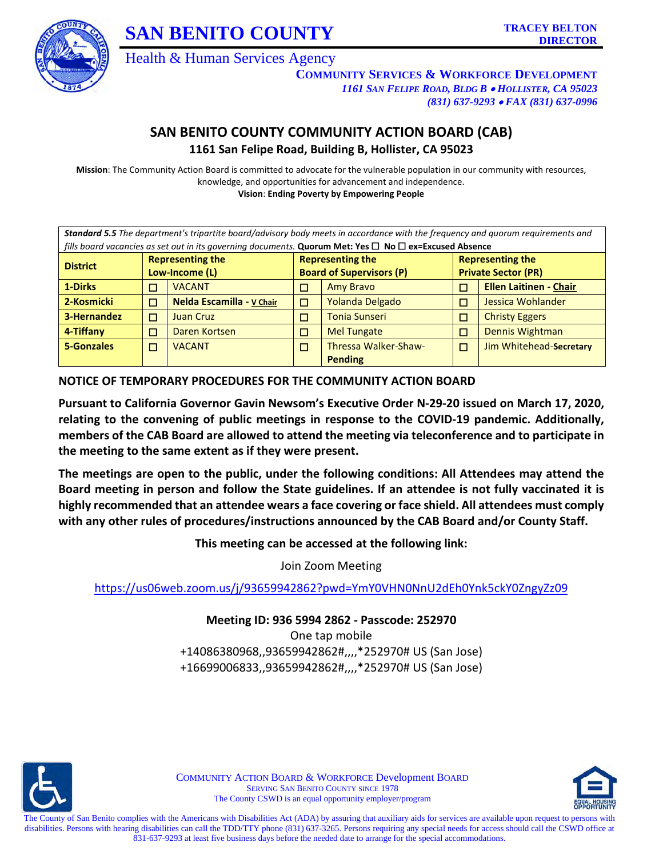



Health & Human Services Agency

**COMMUNITY SERVICES & WORKFORCE DEVELOPMENT** *1161 SAN FELIPE ROAD, BLDG B* • *HOLLISTER, CA 95023 (831) 637-9293* • *FAX (831) 637-0996*

# **SAN BENITO COUNTY COMMUNITY ACTION BOARD (CAB) 1161 San Felipe Road, Building B, Hollister, CA 95023**

**Mission**: The Community Action Board is committed to advocate for the vulnerable population in our community with resources, knowledge, and opportunities for advancement and independence.

**Vision**: **Ending Poverty by Empowering People**

| Standard 5.5 The department's tripartite board/advisory body meets in accordance with the frequency and quorum requirements and |                                                                               |                                 |        |                            |   |                               |
|---------------------------------------------------------------------------------------------------------------------------------|-------------------------------------------------------------------------------|---------------------------------|--------|----------------------------|---|-------------------------------|
| fills board vacancies as set out in its governing documents. Quorum Met: Yes □ No □ ex=Excused Absence                          |                                                                               |                                 |        |                            |   |                               |
|                                                                                                                                 | <b>Representing the</b><br><b>Representing the</b><br><b>Representing the</b> |                                 |        |                            |   |                               |
| <b>District</b><br>Low-Income (L)                                                                                               |                                                                               | <b>Board of Supervisors (P)</b> |        | <b>Private Sector (PR)</b> |   |                               |
| 1-Dirks                                                                                                                         | П                                                                             | <b>VACANT</b>                   | П      | <b>Amy Bravo</b>           | □ | <b>Ellen Laitinen - Chair</b> |
| 2-Kosmicki                                                                                                                      | П                                                                             | Nelda Escamilla - v Chair       | $\Box$ | Yolanda Delgado            | п | Jessica Wohlander             |
| 3-Hernandez                                                                                                                     | □                                                                             | <b>Juan Cruz</b>                | □      | <b>Tonia Sunseri</b>       | п | <b>Christy Eggers</b>         |
| 4-Tiffany                                                                                                                       | □                                                                             | Daren Kortsen                   | П      | <b>Mel Tungate</b>         | □ | Dennis Wightman               |
| 5-Gonzales                                                                                                                      | □                                                                             | <b>VACANT</b>                   | П      | Thressa Walker-Shaw-       | п | Jim Whitehead-Secretary       |
|                                                                                                                                 |                                                                               |                                 |        | <b>Pending</b>             |   |                               |

**NOTICE OF TEMPORARY PROCEDURES FOR THE COMMUNITY ACTION BOARD**

**Pursuant to California Governor Gavin Newsom's Executive Order N-29-20 issued on March 17, 2020, relating to the convening of public meetings in response to the COVID-19 pandemic. Additionally, members of the CAB Board are allowed to attend the meeting via teleconference and to participate in the meeting to the same extent as if they were present.** 

**The meetings are open to the public, under the following conditions: All Attendees may attend the Board meeting in person and follow the State guidelines. If an attendee is not fully vaccinated it is highly recommended that an attendee wears a face covering or face shield. All attendees must comply with any other rules of procedures/instructions announced by the CAB Board and/or County Staff.** 

**This meeting can be accessed at the following link:**

Join Zoom Meeting

<https://us06web.zoom.us/j/93659942862?pwd=YmY0VHN0NnU2dEh0Ynk5ckY0ZngyZz09>

**Meeting ID: 936 5994 2862 - Passcode: 252970**

One tap mobile +14086380968,,93659942862#,,,,\*252970# US (San Jose) +16699006833,,93659942862#,,,,\*252970# US (San Jose)



COMMUNITY ACTION BOARD & WORKFORCE Development BOARD SERVING SAN BENITO COUNTY SINCE 1978 The County CSWD is an equal opportunity employer/program

The County of San Benito complies with the Americans with Disabilities Act (ADA) by assuring that auxiliary aids for services are available upon request to persons with disabilities. Persons with hearing disabilities can call the TDD/TTY phone (831) 637-3265. Persons requiring any special needs for access should call the CSWD office at 831-637-9293 at least five business days before the needed date to arrange for the special accommodations.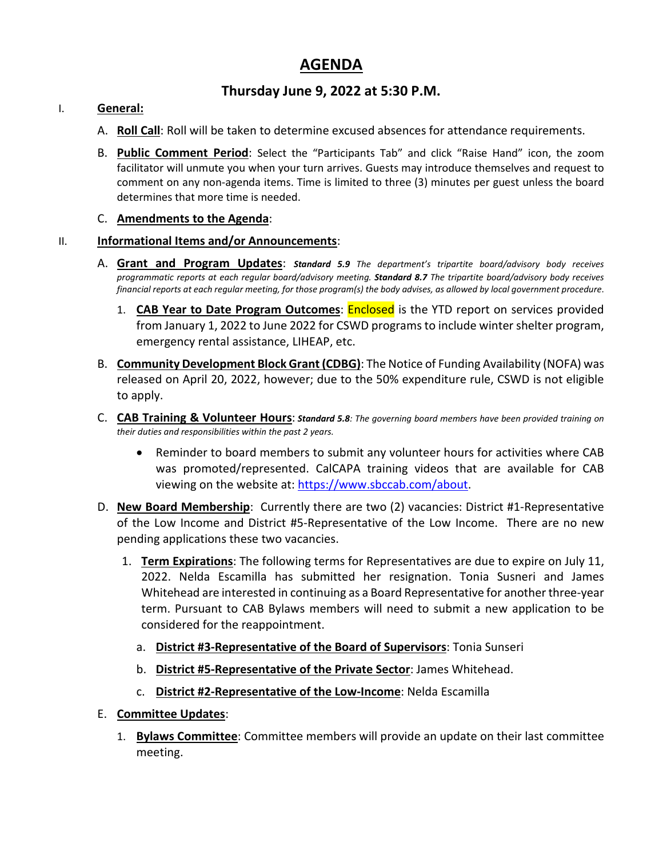# **AGENDA**

# **Thursday June 9, 2022 at 5:30 P.M.**

### I. **General:**

- A. **Roll Call**: Roll will be taken to determine excused absences for attendance requirements.
- B. **Public Comment Period**: Select the "Participants Tab" and click "Raise Hand" icon, the zoom facilitator will unmute you when your turn arrives. Guests may introduce themselves and request to comment on any non-agenda items. Time is limited to three (3) minutes per guest unless the board determines that more time is needed.

### C. **Amendments to the Agenda**:

### II. **Informational Items and/or Announcements**:

- A. **Grant and Program Updates**: *Standard 5.9 The department's tripartite board/advisory body receives programmatic reports at each regular board/advisory meeting. Standard 8.7 The tripartite board/advisory body receives financial reports at each regular meeting, for those program(s) the body advises, as allowed by local government procedure*.
	- 1. **CAB Year to Date Program Outcomes**: Enclosed is the YTD report on services provided from January 1, 2022 to June 2022 for CSWD programs to include winter shelter program, emergency rental assistance, LIHEAP, etc.
- B. **Community Development Block Grant (CDBG)**: The Notice of Funding Availability (NOFA) was released on April 20, 2022, however; due to the 50% expenditure rule, CSWD is not eligible to apply.
- C. **CAB Training & Volunteer Hours**: *Standard 5.8: The governing board members have been provided training on their duties and responsibilities within the past 2 years.*
	- Reminder to board members to submit any volunteer hours for activities where CAB was promoted/represented. CalCAPA training videos that are available for CAB viewing on the website at: [https://www.sbccab.com/about.](https://www.sbccab.com/about)
- D. **New Board Membership**: Currently there are two (2) vacancies: District #1-Representative of the Low Income and District #5-Representative of the Low Income. There are no new pending applications these two vacancies.
	- 1. **Term Expirations**: The following terms for Representatives are due to expire on July 11, 2022. Nelda Escamilla has submitted her resignation. Tonia Susneri and James Whitehead are interested in continuing as a Board Representative for another three-year term. Pursuant to CAB Bylaws members will need to submit a new application to be considered for the reappointment.
		- a. **District #3-Representative of the Board of Supervisors**: Tonia Sunseri
		- b. **District #5-Representative of the Private Sector**: James Whitehead.
		- c. **District #2-Representative of the Low-Income**: Nelda Escamilla
- E. **Committee Updates**:
	- 1. **Bylaws Committee**: Committee members will provide an update on their last committee meeting.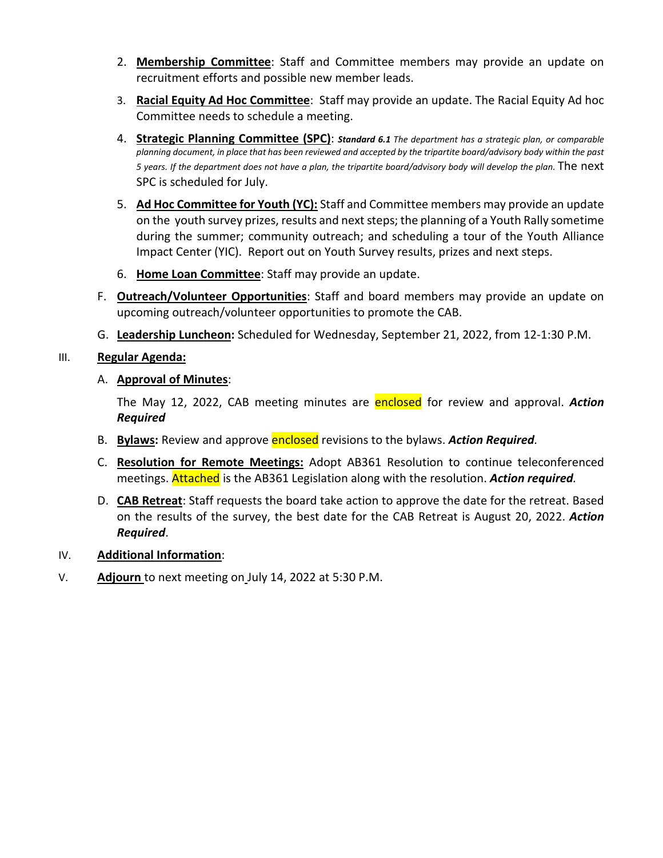- 2. **Membership Committee**: Staff and Committee members may provide an update on recruitment efforts and possible new member leads.
- 3. **Racial Equity Ad Hoc Committee**: Staff may provide an update. The Racial Equity Ad hoc Committee needs to schedule a meeting.
- 4. **Strategic Planning Committee (SPC)**: *Standard 6.1 The department has a strategic plan, or comparable planning document, in place that has been reviewed and accepted by the tripartite board/advisory body within the past 5 years. If the department does not have a plan, the tripartite board/advisory body will develop the plan.* The next SPC is scheduled for July.
- 5. **Ad Hoc Committee for Youth (YC):** Staff and Committee members may provide an update on the youth survey prizes, results and next steps; the planning of a Youth Rally sometime during the summer; community outreach; and scheduling a tour of the Youth Alliance Impact Center (YIC). Report out on Youth Survey results, prizes and next steps.
- 6. **Home Loan Committee**: Staff may provide an update.
- F. **Outreach/Volunteer Opportunities**: Staff and board members may provide an update on upcoming outreach/volunteer opportunities to promote the CAB.
- G. **Leadership Luncheon:** Scheduled for Wednesday, September 21, 2022, from 12-1:30 P.M.

### III. **Regular Agenda:**

### A. **Approval of Minutes**:

The May 12, 2022, CAB meeting minutes are enclosed for review and approval. *Action Required*

- B. **Bylaws:** Review and approve enclosed revisions to the bylaws. *Action Required.*
- C. **Resolution for Remote Meetings:** Adopt AB361 Resolution to continue teleconferenced meetings. Attached is the AB361 Legislation along with the resolution. *Action required.*
- D. **CAB Retreat**: Staff requests the board take action to approve the date for the retreat. Based on the results of the survey, the best date for the CAB Retreat is August 20, 2022. *Action Required*.

### IV. **Additional Information**:

V. **Adjourn** to next meeting on July 14, 2022 at 5:30 P.M.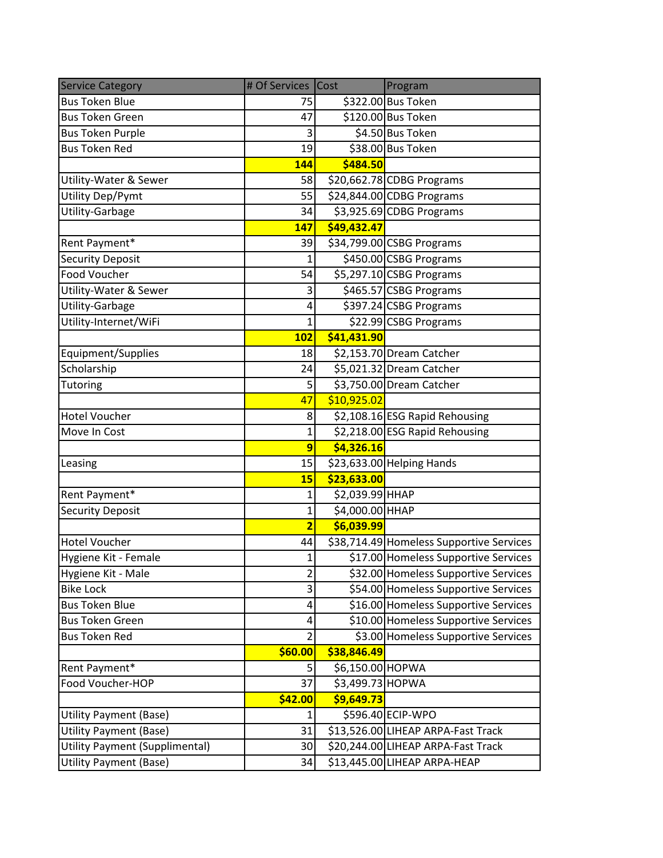| <b>Service Category</b>               | # Of Services Cost      |                  | Program                                  |
|---------------------------------------|-------------------------|------------------|------------------------------------------|
| <b>Bus Token Blue</b>                 | 75                      |                  | \$322.00 Bus Token                       |
| <b>Bus Token Green</b>                | 47                      |                  | \$120.00 Bus Token                       |
| <b>Bus Token Purple</b>               | 3                       |                  | \$4.50 Bus Token                         |
| <b>Bus Token Red</b>                  | 19                      |                  | \$38.00 Bus Token                        |
|                                       | 144                     | \$484.50         |                                          |
| Utility-Water & Sewer                 | 58                      |                  | \$20,662.78 CDBG Programs                |
| Utility Dep/Pymt                      | 55                      |                  | \$24,844.00 CDBG Programs                |
| Utility-Garbage                       | 34                      |                  | \$3,925.69 CDBG Programs                 |
|                                       | <b>147</b>              | \$49,432.47      |                                          |
| Rent Payment*                         | 39                      |                  | \$34,799.00 CSBG Programs                |
| <b>Security Deposit</b>               | 1                       |                  | \$450.00 CSBG Programs                   |
| <b>Food Voucher</b>                   | 54                      |                  | \$5,297.10 CSBG Programs                 |
| Utility-Water & Sewer                 | 3                       |                  | \$465.57 CSBG Programs                   |
| Utility-Garbage                       | 4                       |                  | \$397.24 CSBG Programs                   |
| Utility-Internet/WiFi                 | 1                       |                  | \$22.99 CSBG Programs                    |
|                                       | <b>102</b>              | \$41,431.90      |                                          |
| Equipment/Supplies                    | 18                      |                  | \$2,153.70 Dream Catcher                 |
| Scholarship                           | 24                      |                  | \$5,021.32 Dream Catcher                 |
| Tutoring                              | 5                       |                  | \$3,750.00 Dream Catcher                 |
|                                       | 47                      | \$10,925.02      |                                          |
| <b>Hotel Voucher</b>                  | 8                       |                  | \$2,108.16 ESG Rapid Rehousing           |
| Move In Cost                          | $\mathbf 1$             |                  | \$2,218.00 ESG Rapid Rehousing           |
|                                       | $\overline{9}$          | \$4,326.16       |                                          |
| Leasing                               | 15                      |                  | \$23,633.00 Helping Hands                |
|                                       | 15                      | \$23,633.00      |                                          |
| Rent Payment*                         | 1                       | \$2,039.99 HHAP  |                                          |
| <b>Security Deposit</b>               | $\mathbf 1$             | \$4,000.00 HHAP  |                                          |
|                                       | $\overline{\mathbf{2}}$ | \$6,039.99       |                                          |
| <b>Hotel Voucher</b>                  | 44                      |                  | \$38,714.49 Homeless Supportive Services |
| Hygiene Kit - Female                  | $\mathbf{1}$            |                  | \$17.00 Homeless Supportive Services     |
| Hygiene Kit - Male                    | $\overline{2}$          |                  | \$32.00 Homeless Supportive Services     |
| <b>Bike Lock</b>                      | 3                       |                  | \$54.00 Homeless Supportive Services     |
| <b>Bus Token Blue</b>                 | 4                       |                  | \$16.00 Homeless Supportive Services     |
| <b>Bus Token Green</b>                | 4                       |                  | \$10.00 Homeless Supportive Services     |
| <b>Bus Token Red</b>                  | $\overline{2}$          |                  | \$3.00 Homeless Supportive Services      |
|                                       | \$60.00                 | \$38,846.49      |                                          |
| Rent Payment*                         | 5                       | \$6,150.00 HOPWA |                                          |
| Food Voucher-HOP                      | 37                      | \$3,499.73 HOPWA |                                          |
|                                       | \$42.00                 | \$9,649.73       |                                          |
| <b>Utility Payment (Base)</b>         | 1                       |                  | \$596.40 ECIP-WPO                        |
| <b>Utility Payment (Base)</b>         | 31                      |                  | \$13,526.00 LIHEAP ARPA-Fast Track       |
| <b>Utility Payment (Supplimental)</b> | 30                      |                  | \$20,244.00 LIHEAP ARPA-Fast Track       |
| <b>Utility Payment (Base)</b>         | 34                      |                  | \$13,445.00 LIHEAP ARPA-HEAP             |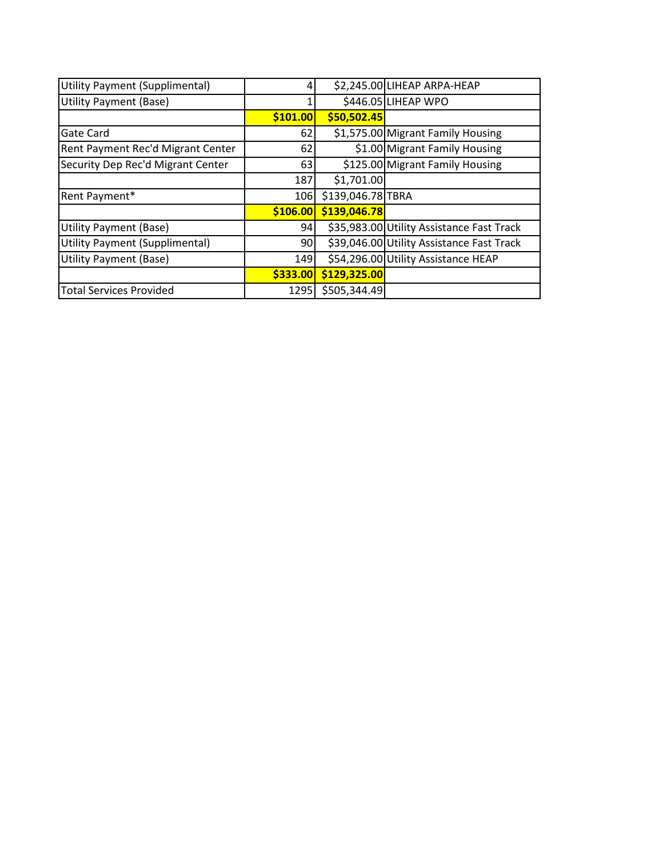| <b>Utility Payment (Supplimental)</b> |          |                   | \$2,245.00 LIHEAP ARPA-HEAP               |
|---------------------------------------|----------|-------------------|-------------------------------------------|
| <b>Utility Payment (Base)</b>         |          |                   | \$446.05 LIHEAP WPO                       |
|                                       | \$101.00 | \$50,502.45       |                                           |
| Gate Card                             | 62       |                   | \$1,575.00 Migrant Family Housing         |
| Rent Payment Rec'd Migrant Center     | 62       |                   | \$1.00 Migrant Family Housing             |
| Security Dep Rec'd Migrant Center     | 63       |                   | \$125.00 Migrant Family Housing           |
|                                       | 187      | \$1,701.00        |                                           |
| Rent Payment*                         | 106      | \$139,046.78 TBRA |                                           |
|                                       | \$106.00 | \$139,046.78      |                                           |
| Utility Payment (Base)                | 94       |                   | \$35,983.00 Utility Assistance Fast Track |
| <b>Utility Payment (Supplimental)</b> | 90       |                   | \$39,046.00 Utility Assistance Fast Track |
| Utility Payment (Base)                | 149      |                   | \$54,296.00 Utility Assistance HEAP       |
|                                       | \$333.00 | \$129,325.00      |                                           |
| <b>Total Services Provided</b>        | 1295     | \$505,344.49      |                                           |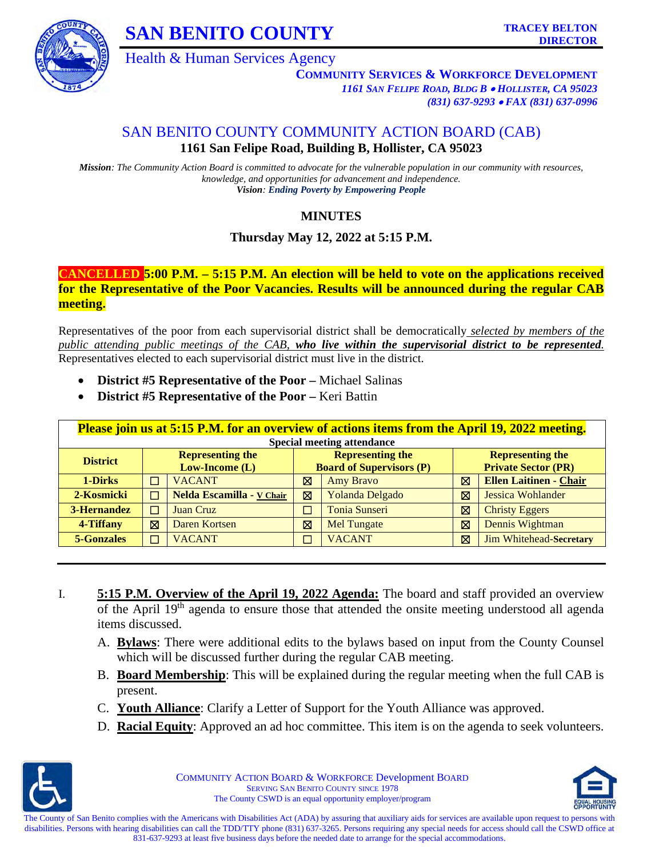

**SAN BENITO COUNTY** TRACEY BELTON

Health & Human Services Agency

**COMMUNITY SERVICES & WORKFORCE DEVELOPMENT** *1161 SAN FELIPE ROAD, BLDG B* • *HOLLISTER, CA 95023 (831) 637-9293* • *FAX (831) 637-0996*

# SAN BENITO COUNTY COMMUNITY ACTION BOARD (CAB) **1161 San Felipe Road, Building B, Hollister, CA 95023**

*Mission: The Community Action Board is committed to advocate for the vulnerable population in our community with resources, knowledge, and opportunities for advancement and independence. Vision: Ending Poverty by Empowering People*

# **MINUTES**

# **Thursday May 12, 2022 at 5:15 P.M.**

### **CANCELLED 5:00 P.M. – 5:15 P.M. An election will be held to vote on the applications received for the Representative of the Poor Vacancies. Results will be announced during the regular CAB meeting.**

Representatives of the poor from each supervisorial district shall be democratically *selected by members of the public attending public meetings of the CAB, who live within the supervisorial district to be represented.* Representatives elected to each supervisorial district must live in the district.

- **District #5 Representative of the Poor** Michael Salinas
- **District #5 Representative of the Poor** Keri Battin

| <b>Please join us at 5:15 P.M. for an overview of actions items from the April 19, 2022 meeting.</b> |                                                                               |                           |                          |                            |   |                               |
|------------------------------------------------------------------------------------------------------|-------------------------------------------------------------------------------|---------------------------|--------------------------|----------------------------|---|-------------------------------|
| <b>Special meeting attendance</b>                                                                    |                                                                               |                           |                          |                            |   |                               |
| <b>District</b>                                                                                      | <b>Representing the</b><br><b>Representing the</b><br><b>Representing the</b> |                           |                          |                            |   |                               |
| <b>Board of Supervisors (P)</b><br>$Low-Income(L)$                                                   |                                                                               |                           |                          | <b>Private Sector (PR)</b> |   |                               |
| 1-Dirks                                                                                              |                                                                               | <b>VACANT</b>             | 図                        | <b>Amy Bravo</b>           | ⊠ | <b>Ellen Laitinen - Chair</b> |
| 2-Kosmicki                                                                                           | $\Box$                                                                        | Nelda Escamilla - V Chair | 図                        | Yolanda Delgado            | ⊠ | Jessica Wohlander             |
| 3-Hernandez                                                                                          | П                                                                             | <b>Juan Cruz</b>          | ⊐                        | <b>Tonia Sunseri</b>       | ⊠ | <b>Christy Eggers</b>         |
| 4-Tiffany                                                                                            | ⊠                                                                             | Daren Kortsen             | ⊠                        | Mel Tungate                | ⊠ | Dennis Wightman               |
| <b>5-Gonzales</b>                                                                                    | П                                                                             | <b>VACANT</b>             | $\overline{\phantom{0}}$ | <b>VACANT</b>              | ⊠ | Jim Whitehead-Secretary       |

- I. **5:15 P.M. Overview of the April 19, 2022 Agenda:** The board and staff provided an overview of the April 19<sup>th</sup> agenda to ensure those that attended the onsite meeting understood all agenda items discussed.
	- A. **Bylaws**: There were additional edits to the bylaws based on input from the County Counsel which will be discussed further during the regular CAB meeting.
	- B. **Board Membership**: This will be explained during the regular meeting when the full CAB is present.
	- C. **Youth Alliance**: Clarify a Letter of Support for the Youth Alliance was approved.
	- D. **Racial Equity**: Approved an ad hoc committee. This item is on the agenda to seek volunteers.



COMMUNITY ACTION BOARD & WORKFORCE Development BOARD SERVING SAN BENITO COUNTY SINCE 1978 The County CSWD is an equal opportunity employer/program



The County of San Benito complies with the Americans with Disabilities Act (ADA) by assuring that auxiliary aids for services are available upon request to persons with disabilities. Persons with hearing disabilities can call the TDD/TTY phone (831) 637-3265. Persons requiring any special needs for access should call the CSWD office at 831-637-9293 at least five business days before the needed date to arrange for the special accommodations.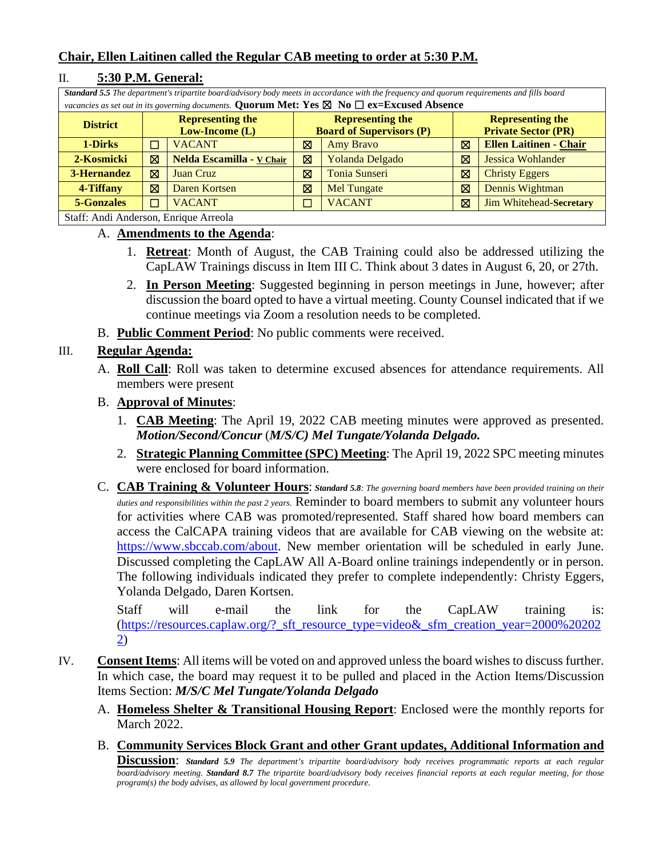## **Chair, Ellen Laitinen called the Regular CAB meeting to order at 5:30 P.M.**

| Standard 5.5 The department's tripartite board/advisory body meets in accordance with the frequency and quorum requirements and fills board |                                                                               |                           |        |                            |   |                               |
|---------------------------------------------------------------------------------------------------------------------------------------------|-------------------------------------------------------------------------------|---------------------------|--------|----------------------------|---|-------------------------------|
| vacancies as set out in its governing documents. Quorum Met: Yes $\boxtimes$ No $\Box$ ex=Excused Absence                                   |                                                                               |                           |        |                            |   |                               |
| <b>District</b>                                                                                                                             | <b>Representing the</b><br><b>Representing the</b><br><b>Representing the</b> |                           |        |                            |   |                               |
| <b>Board of Supervisors (P)</b><br>$Low-Income(L)$                                                                                          |                                                                               |                           |        | <b>Private Sector (PR)</b> |   |                               |
| 1-Dirks                                                                                                                                     |                                                                               | <b>VACANT</b>             | ⊠      | <b>Amy Bravo</b>           | ⊠ | <b>Ellen Laitinen - Chair</b> |
| 2-Kosmicki                                                                                                                                  | ⊠                                                                             | Nelda Escamilla - V Chair | 冈      | <b>Yolanda Delgado</b>     | ⊠ | <b>Jessica Wohlander</b>      |
| 3-Hernandez                                                                                                                                 | ⊠                                                                             | Juan Cruz                 | ⊠      | <b>Tonia Sunseri</b>       | ⊠ | <b>Christy Eggers</b>         |
| 4-Tiffany                                                                                                                                   | ⊠                                                                             | Daren Kortsen             | ⊠      | <b>Mel Tungate</b>         | ⊠ | Dennis Wightman               |
| 5-Gonzales                                                                                                                                  |                                                                               | <b>VACANT</b>             | $\Box$ | <b>VACANT</b>              | ⊠ | Jim Whitehead-Secretary       |
| Staff: Andi Anderson, Enrique Arreola                                                                                                       |                                                                               |                           |        |                            |   |                               |

### II. **5:30 P.M. General:**

### A. **Amendments to the Agenda**:

- 1. **Retreat**: Month of August, the CAB Training could also be addressed utilizing the CapLAW Trainings discuss in Item III C. Think about 3 dates in August 6, 20, or 27th.
- 2. **In Person Meeting**: Suggested beginning in person meetings in June, however; after discussion the board opted to have a virtual meeting. County Counsel indicated that if we continue meetings via Zoom a resolution needs to be completed.
- B. **Public Comment Period**: No public comments were received.

### III. **Regular Agenda:**

A. **Roll Call**: Roll was taken to determine excused absences for attendance requirements. All members were present

### B. **Approval of Minutes**:

- 1. **CAB Meeting**: The April 19, 2022 CAB meeting minutes were approved as presented. *Motion/Second/Concur* (*M/S/C) Mel Tungate/Yolanda Delgado.*
- 2. **Strategic Planning Committee (SPC) Meeting**: The April 19, 2022 SPC meeting minutes were enclosed for board information.
- C. **CAB Training & Volunteer Hours**: *Standard 5.8: The governing board members have been provided training on their duties and responsibilities within the past 2 years.* Reminder to board members to submit any volunteer hours for activities where CAB was promoted/represented. Staff shared how board members can access the CalCAPA training videos that are available for CAB viewing on the website at: [https://www.sbccab.com/about.](https://www.sbccab.com/about) New member orientation will be scheduled in early June. Discussed completing the CapLAW All A-Board online trainings independently or in person. The following individuals indicated they prefer to complete independently: Christy Eggers, Yolanda Delgado, Daren Kortsen.

Staff will e-mail the link for the CapLAW training is: [\(https://resources.caplaw.org/?\\_sft\\_resource\\_type=video&\\_sfm\\_creation\\_year=2000%20202](https://resources.caplaw.org/?_sft_resource_type=video&_sfm_creation_year=2000%202022) [2\)](https://resources.caplaw.org/?_sft_resource_type=video&_sfm_creation_year=2000%202022)

- IV. **Consent Items**: All items will be voted on and approved unless the board wishes to discuss further. In which case, the board may request it to be pulled and placed in the Action Items/Discussion Items Section: *M/S/C Mel Tungate/Yolanda Delgado* 
	- A. **Homeless Shelter & Transitional Housing Report**: Enclosed were the monthly reports for March 2022.
	- B. **Community Services Block Grant and other Grant updates, Additional Information and**

**Discussion**: *Standard 5.9 The department's tripartite board/advisory body receives programmatic reports at each regular board/advisory meeting. Standard 8.7 The tripartite board/advisory body receives financial reports at each regular meeting, for those program(s) the body advises, as allowed by local government procedure*.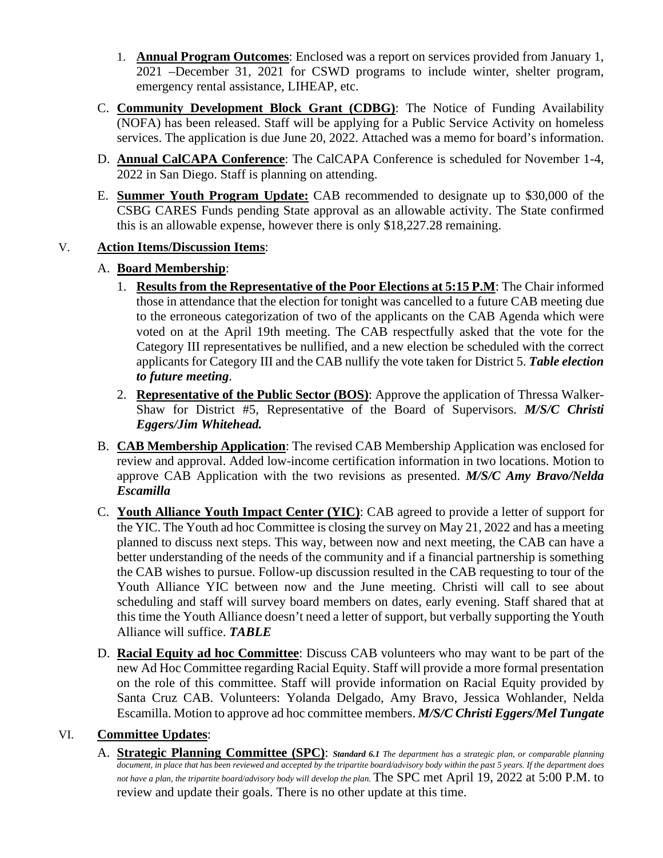- 1. **Annual Program Outcomes**: Enclosed was a report on services provided from January 1, 2021 –December 31, 2021 for CSWD programs to include winter, shelter program, emergency rental assistance, LIHEAP, etc.
- C. **Community Development Block Grant (CDBG)**: The Notice of Funding Availability (NOFA) has been released. Staff will be applying for a Public Service Activity on homeless services. The application is due June 20, 2022. Attached was a memo for board's information.
- D. **Annual CalCAPA Conference**: The CalCAPA Conference is scheduled for November 1-4, 2022 in San Diego. Staff is planning on attending.
- E. **Summer Youth Program Update:** CAB recommended to designate up to \$30,000 of the CSBG CARES Funds pending State approval as an allowable activity. The State confirmed this is an allowable expense, however there is only \$18,227.28 remaining.

## V. **Action Items/Discussion Items**:

# A. **Board Membership**:

- 1. **Results from the Representative of the Poor Elections at 5:15 P.M**: The Chair informed those in attendance that the election for tonight was cancelled to a future CAB meeting due to the erroneous categorization of two of the applicants on the CAB Agenda which were voted on at the April 19th meeting. The CAB respectfully asked that the vote for the Category III representatives be nullified, and a new election be scheduled with the correct applicants for Category III and the CAB nullify the vote taken for District 5. *Table election to future meeting*.
- 2. **Representative of the Public Sector (BOS)**: Approve the application of Thressa Walker-Shaw for District #5, Representative of the Board of Supervisors. *M/S/C Christi Eggers/Jim Whitehead.*
- B. **CAB Membership Application**: The revised CAB Membership Application was enclosed for review and approval. Added low-income certification information in two locations. Motion to approve CAB Application with the two revisions as presented. *M/S/C Amy Bravo/Nelda Escamilla*
- C. **Youth Alliance Youth Impact Center (YIC)**: CAB agreed to provide a letter of support for the YIC. The Youth ad hoc Committee is closing the survey on May 21, 2022 and has a meeting planned to discuss next steps. This way, between now and next meeting, the CAB can have a better understanding of the needs of the community and if a financial partnership is something the CAB wishes to pursue. Follow-up discussion resulted in the CAB requesting to tour of the Youth Alliance YIC between now and the June meeting. Christi will call to see about scheduling and staff will survey board members on dates, early evening. Staff shared that at this time the Youth Alliance doesn't need a letter of support, but verbally supporting the Youth Alliance will suffice. *TABLE*
- D. **Racial Equity ad hoc Committee**: Discuss CAB volunteers who may want to be part of the new Ad Hoc Committee regarding Racial Equity. Staff will provide a more formal presentation on the role of this committee. Staff will provide information on Racial Equity provided by Santa Cruz CAB. Volunteers: Yolanda Delgado, Amy Bravo, Jessica Wohlander, Nelda Escamilla. Motion to approve ad hoc committee members. *M/S/C Christi Eggers/Mel Tungate*

### VI. **Committee Updates**:

A. **Strategic Planning Committee (SPC)**: *Standard 6.1 The department has a strategic plan, or comparable planning document, in place that has been reviewed and accepted by the tripartite board/advisory body within the past 5 years. If the department does*  not have a plan, the tripartite board/advisory body will develop the plan. The SPC met April 19, 2022 at 5:00 P.M. to review and update their goals. There is no other update at this time.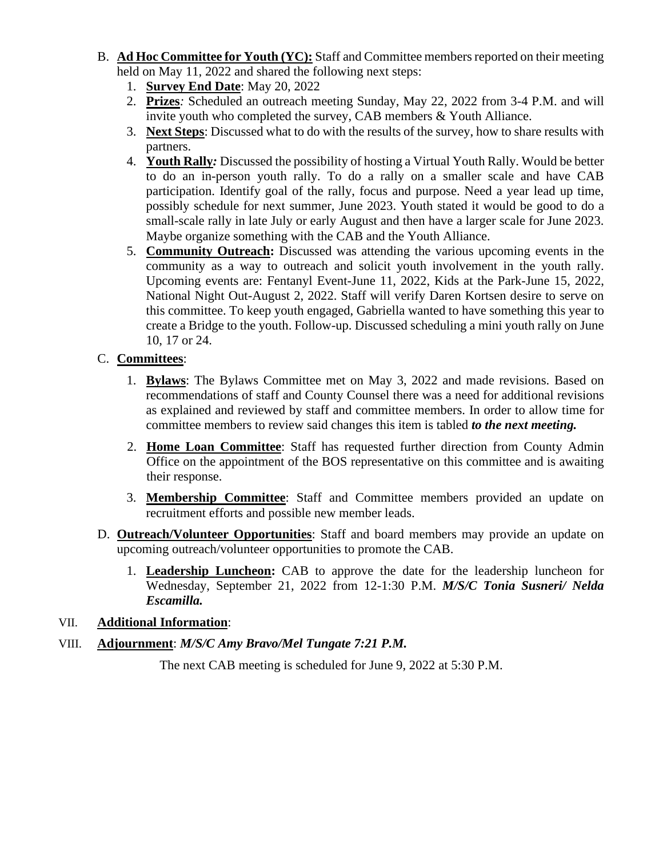- B. **Ad Hoc Committee for Youth (YC):** Staff and Committee members reported on their meeting held on May 11, 2022 and shared the following next steps:
	- 1. **Survey End Date**: May 20, 2022
	- 2. **Prizes***:* Scheduled an outreach meeting Sunday, May 22, 2022 from 3-4 P.M. and will invite youth who completed the survey, CAB members & Youth Alliance.
	- 3. **Next Steps**: Discussed what to do with the results of the survey, how to share results with partners.
	- 4. **Youth Rally***:* Discussed the possibility of hosting a Virtual Youth Rally. Would be better to do an in-person youth rally. To do a rally on a smaller scale and have CAB participation. Identify goal of the rally, focus and purpose. Need a year lead up time, possibly schedule for next summer, June 2023. Youth stated it would be good to do a small-scale rally in late July or early August and then have a larger scale for June 2023. Maybe organize something with the CAB and the Youth Alliance.
	- 5. **Community Outreach:** Discussed was attending the various upcoming events in the community as a way to outreach and solicit youth involvement in the youth rally. Upcoming events are: Fentanyl Event-June 11, 2022, Kids at the Park-June 15, 2022, National Night Out-August 2, 2022. Staff will verify Daren Kortsen desire to serve on this committee. To keep youth engaged, Gabriella wanted to have something this year to create a Bridge to the youth. Follow-up. Discussed scheduling a mini youth rally on June 10, 17 or 24.

# C. **Committees**:

- 1. **Bylaws**: The Bylaws Committee met on May 3, 2022 and made revisions. Based on recommendations of staff and County Counsel there was a need for additional revisions as explained and reviewed by staff and committee members. In order to allow time for committee members to review said changes this item is tabled *to the next meeting.*
- 2. **Home Loan Committee**: Staff has requested further direction from County Admin Office on the appointment of the BOS representative on this committee and is awaiting their response.
- 3. **Membership Committee**: Staff and Committee members provided an update on recruitment efforts and possible new member leads.
- D. **Outreach/Volunteer Opportunities**: Staff and board members may provide an update on upcoming outreach/volunteer opportunities to promote the CAB.
	- 1. **Leadership Luncheon:** CAB to approve the date for the leadership luncheon for Wednesday, September 21, 2022 from 12-1:30 P.M. *M/S/C Tonia Susneri/ Nelda Escamilla.*

### VII. **Additional Information**:

# VIII. **Adjournment**: *M/S/C Amy Bravo/Mel Tungate 7:21 P.M.*

The next CAB meeting is scheduled for June 9, 2022 at 5:30 P.M.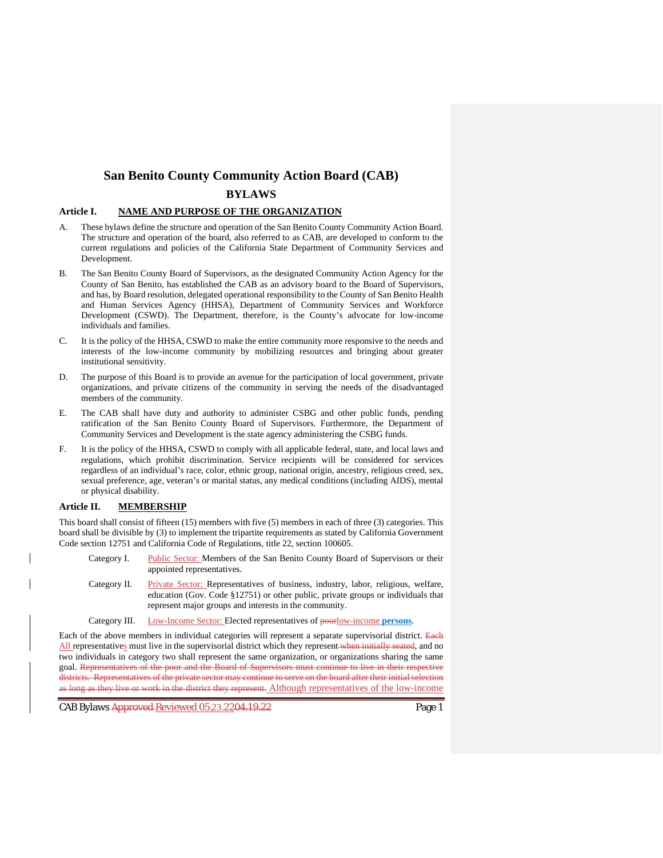# **San Benito County Community Action Board (CAB)**

#### **BYLAWS**

#### **Article I. NAME AND PURPOSE OF THE ORGANIZATION**

- A. These bylaws define the structure and operation of the San Benito County Community Action Board. The structure and operation of the board, also referred to as CAB, are developed to conform to the current regulations and policies of the California State Department of Community Services and Development.
- B. The San Benito County Board of Supervisors, as the designated Community Action Agency for the County of San Benito, has established the CAB as an advisory board to the Board of Supervisors, and has, by Board resolution, delegated operational responsibility to the County of San Benito Health and Human Services Agency (HHSA), Department of Community Services and Workforce Development (CSWD). The Department, therefore, is the County's advocate for low-income individuals and families.
- C. It is the policy of the HHSA, CSWD to make the entire community more responsive to the needs and interests of the low-income community by mobilizing resources and bringing about greater institutional sensitivity.
- D. The purpose of this Board is to provide an avenue for the participation of local government, private organizations, and private citizens of the community in serving the needs of the disadvantaged members of the community.
- E. The CAB shall have duty and authority to administer CSBG and other public funds, pending ratification of the San Benito County Board of Supervisors. Furthermore, the Department of Community Services and Development is the state agency administering the CSBG funds.
- F. It is the policy of the HHSA, CSWD to comply with all applicable federal, state, and local laws and regulations, which prohibit discrimination. Service recipients will be considered for services regardless of an individual's race, color, ethnic group, national origin, ancestry, religious creed, sex, sexual preference, age, veteran's or marital status, any medical conditions (including AIDS), mental or physical disability.

#### **Article II. MEMBERSHIP**

This board shall consist of fifteen (15) members with five (5) members in each of three (3) categories. This board shall be divisible by (3) to implement the tripartite requirements as stated by California Government Code section 12751 and California Code of Regulations, title 22, section 100605.

- Category I. Public Sector: Members of the San Benito County Board of Supervisors or their appointed representatives.
- Category II. Private Sector: Representatives of business, industry, labor, religious, welfare, education (Gov. Code §12751) or other public, private groups or individuals that represent major groups and interests in the community.
- Category III. Low-Income Sector: Elected representatives of poorlow-income **persons**.

Each of the above members in individual categories will represent a separate supervisorial district. Each All representatives must live in the supervisorial district which they represent when initially seated, and no two individuals in category two shall represent the same organization, or organizations sharing the same goal. Representatives of the poor and the Board of Supervisors must continue to live in their respective districts. Representatives of the private sector may continue to serve on the board after their initial selection as long as they live or work in the district they represent. Although representatives of the low-income

CAB Bylaws <del>Approved Reviewed 05.23.2204.19.22</del> Page 1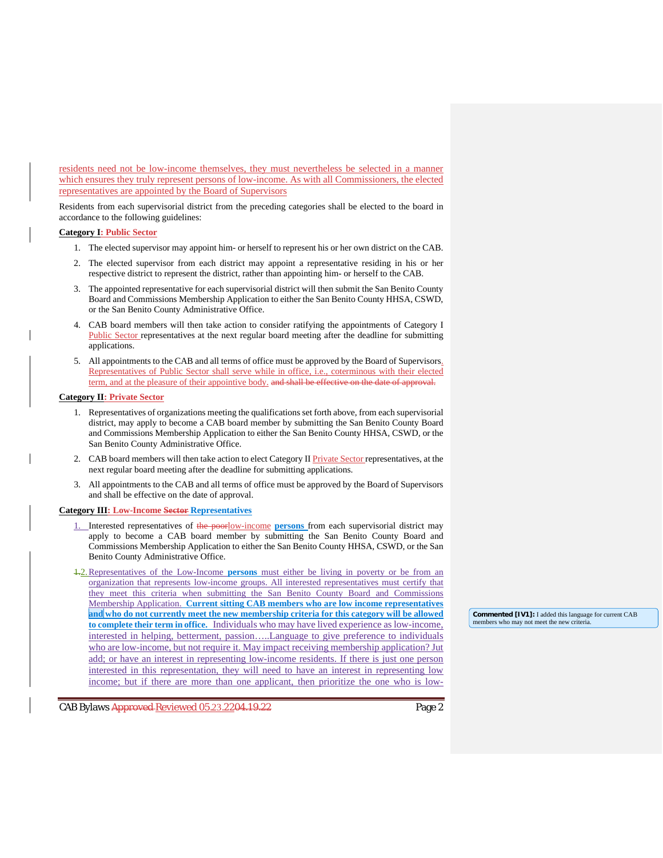residents need not be low-income themselves, they must nevertheless be selected in a manner which ensures they truly represent persons of low-income. As with all Commissioners, the elected representatives are appointed by the Board of Supervisors

Residents from each supervisorial district from the preceding categories shall be elected to the board in accordance to the following guidelines:

#### **Category I: Public Sector**

- 1. The elected supervisor may appoint him- or herself to represent his or her own district on the CAB.
- 2. The elected supervisor from each district may appoint a representative residing in his or her respective district to represent the district, rather than appointing him- or herself to the CAB.
- 3. The appointed representative for each supervisorial district will then submit the San Benito County Board and Commissions Membership Application to either the San Benito County HHSA, CSWD, or the San Benito County Administrative Office.
- 4. CAB board members will then take action to consider ratifying the appointments of Category I Public Sector representatives at the next regular board meeting after the deadline for submitting applications.
- 5. All appointments to the CAB and all terms of office must be approved by the Board of Supervisors. Representatives of Public Sector shall serve while in office, i.e., coterminous with their elected term, and at the pleasure of their appointive body, and shall be effective on the date of approval.

#### **Category II: Private Sector**

- 1. Representatives of organizations meeting the qualifications set forth above, from each supervisorial district, may apply to become a CAB board member by submitting the San Benito County Board and Commissions Membership Application to either the San Benito County HHSA, CSWD, or the San Benito County Administrative Office.
- 2. CAB board members will then take action to elect Category II Private Sector representatives, at the next regular board meeting after the deadline for submitting applications.
- 3. All appointments to the CAB and all terms of office must be approved by the Board of Supervisors and shall be effective on the date of approval.

#### **Category III: Low-Income Sector Representatives**

- 1. Interested representatives of the poorlow-income **persons** from each supervisorial district may apply to become a CAB board member by submitting the San Benito County Board and Commissions Membership Application to either the San Benito County HHSA, CSWD, or the San Benito County Administrative Office.
- 1.2.Representatives of the Low-Income **persons** must either be living in poverty or be from an organization that represents low-income groups. All interested representatives must certify that they meet this criteria when submitting the San Benito County Board and Commissions Membership Application. **Current sitting CAB members who are low income representatives and who do not currently meet the new membership criteria for this category will be allowed to complete their term in office.** Individuals who may have lived experience as low-income, interested in helping, betterment, passion…..Language to give preference to individuals who are low-income, but not require it. May impact receiving membership application? Jut add; or have an interest in representing low-income residents. If there is just one person interested in this representation, they will need to have an interest in representing low income; but if there are more than one applicant, then prioritize the one who is low-

CAB Bylaws Approved Reviewed 05.23.2204.19.22

**Commented [IV1]:** I added this language for current CAB members who may not meet the new criteria.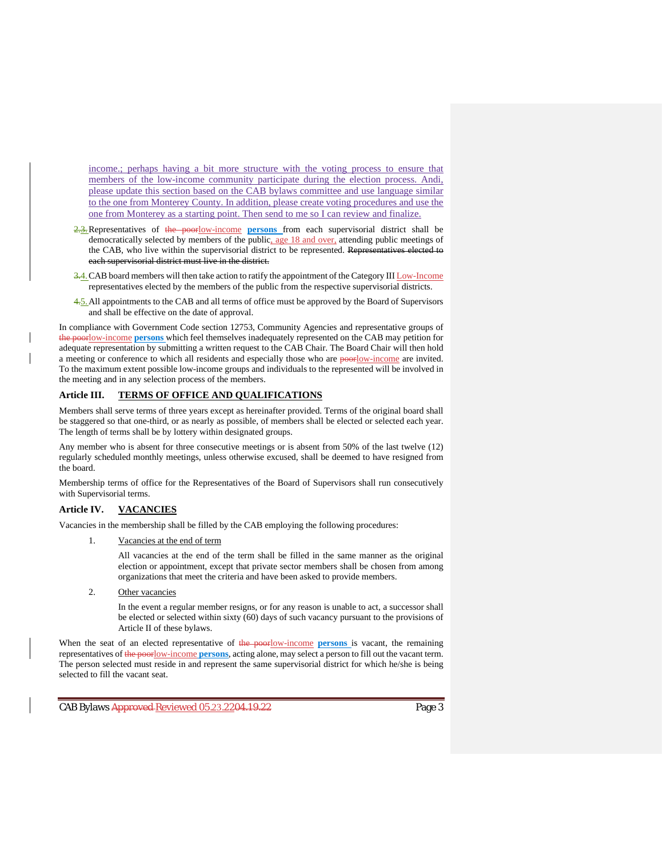income.; perhaps having a bit more structure with the voting process to ensure that members of the low-income community participate during the election process. Andi, please update this section based on the CAB bylaws committee and use language similar to the one from Monterey County. In addition, please create voting procedures and use the one from Monterey as a starting point. Then send to me so I can review and finalize.

- 2.3. Representatives of the poorlow-income persons from each supervisorial district shall be democratically selected by members of the public, age 18 and over, attending public meetings of the CAB, who live within the supervisorial district to be represented. Represent each supervisorial district must live in the district.
- 3.4. CAB board members will then take action to ratify the appointment of the Category III Low-Income representatives elected by the members of the public from the respective supervisorial districts.
- 4.5. All appointments to the CAB and all terms of office must be approved by the Board of Supervisors and shall be effective on the date of approval.

In compliance with Government Code section 12753, Community Agencies and representative groups of the poorlow-income **persons** which feel themselves inadequately represented on the CAB may petition for adequate representation by submitting a written request to the CAB Chair. The Board Chair will then hold a meeting or conference to which all residents and especially those who are poorlow-income are invited. To the maximum extent possible low-income groups and individuals to the represented will be involved in the meeting and in any selection process of the members.

#### **Article III. TERMS OF OFFICE AND QUALIFICATIONS**

Members shall serve terms of three years except as hereinafter provided. Terms of the original board shall be staggered so that one-third, or as nearly as possible, of members shall be elected or selected each year. The length of terms shall be by lottery within designated groups.

Any member who is absent for three consecutive meetings or is absent from 50% of the last twelve (12) regularly scheduled monthly meetings, unless otherwise excused, shall be deemed to have resigned from the board.

Membership terms of office for the Representatives of the Board of Supervisors shall run consecutively with Supervisorial terms.

#### **Article IV. VACANCIES**

Vacancies in the membership shall be filled by the CAB employing the following procedures:

Vacancies at the end of term

All vacancies at the end of the term shall be filled in the same manner as the original election or appointment, except that private sector members shall be chosen from among organizations that meet the criteria and have been asked to provide members.

2. Other vacancies

In the event a regular member resigns, or for any reason is unable to act, a successor shall be elected or selected within sixty (60) days of such vacancy pursuant to the provisions of Article II of these bylaws.

When the seat of an elected representative of the poorlow-income persons is vacant, the remaining representatives of the poorlow-income **persons**, acting alone, may select a person to fill out the vacant term. The person selected must reside in and represent the same supervisorial district for which he/she is being selected to fill the vacant seat.

CAB Bylaws <del>Approved Reviewed 05.23.2204.19.22</del> Page 3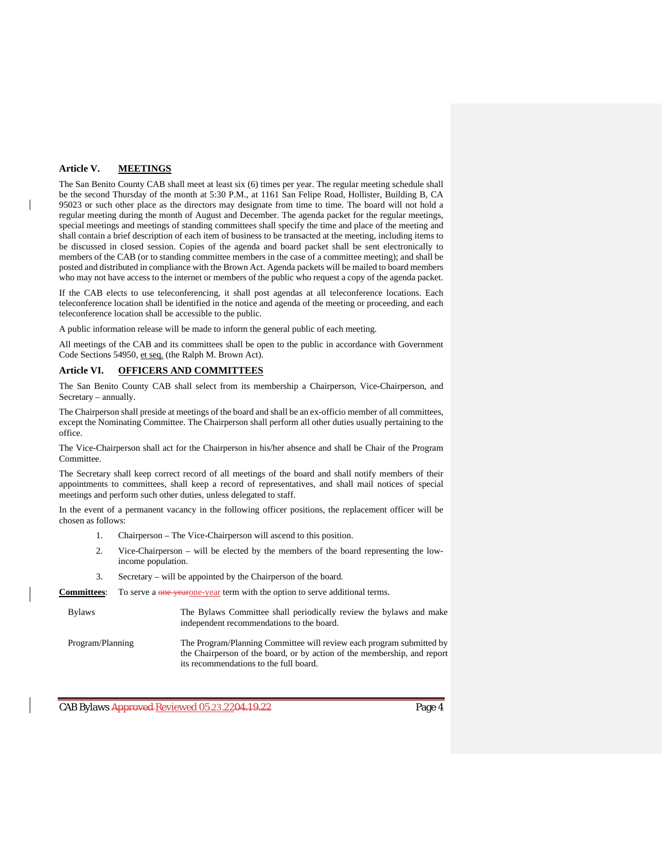#### **Article V. MEETINGS**

The San Benito County CAB shall meet at least six (6) times per year. The regular meeting schedule shall be the second Thursday of the month at 5:30 P.M., at 1161 San Felipe Road, Hollister, Building B, CA 95023 or such other place as the directors may designate from time to time. The board will not hold a regular meeting during the month of August and December. The agenda packet for the regular meetings, special meetings and meetings of standing committees shall specify the time and place of the meeting and shall contain a brief description of each item of business to be transacted at the meeting, including items to be discussed in closed session. Copies of the agenda and board packet shall be sent electronically to members of the CAB (or to standing committee members in the case of a committee meeting); and shall be posted and distributed in compliance with the Brown Act. Agenda packets will be mailed to board members who may not have access to the internet or members of the public who request a copy of the agenda packet.

If the CAB elects to use teleconferencing, it shall post agendas at all teleconference locations. Each teleconference location shall be identified in the notice and agenda of the meeting or proceeding, and each teleconference location shall be accessible to the public.

A public information release will be made to inform the general public of each meeting.

All meetings of the CAB and its committees shall be open to the public in accordance with Government Code Sections 54950, et seq. (the Ralph M. Brown Act).

#### **Article VI. OFFICERS AND COMMITTEES**

The San Benito County CAB shall select from its membership a Chairperson, Vice-Chairperson, and Secretary – annually.

The Chairperson shall preside at meetings of the board and shall be an ex-officio member of all committees, except the Nominating Committee. The Chairperson shall perform all other duties usually pertaining to the office.

The Vice-Chairperson shall act for the Chairperson in his/her absence and shall be Chair of the Program Committee.

The Secretary shall keep correct record of all meetings of the board and shall notify members of their appointments to committees, shall keep a record of representatives, and shall mail notices of special meetings and perform such other duties, unless delegated to staff.

In the event of a permanent vacancy in the following officer positions, the replacement officer will be chosen as follows:

- 1. Chairperson The Vice-Chairperson will ascend to this position.
- 2. Vice-Chairperson will be elected by the members of the board representing the lowincome population.
- 3. Secretary will be appointed by the Chairperson of the board.

Committees: To serve a one yearone-year term with the option to serve additional terms.

| <b>Bylaws</b>    | The Bylaws Committee shall periodically review the bylaws and make<br>independent recommendations to the board.                                                                            |
|------------------|--------------------------------------------------------------------------------------------------------------------------------------------------------------------------------------------|
| Program/Planning | The Program/Planning Committee will review each program submitted by<br>the Chairperson of the board, or by action of the membership, and report<br>its recommendations to the full board. |

CAB Bylaws Approved Reviewed 05.23.2204.19.22 Page 4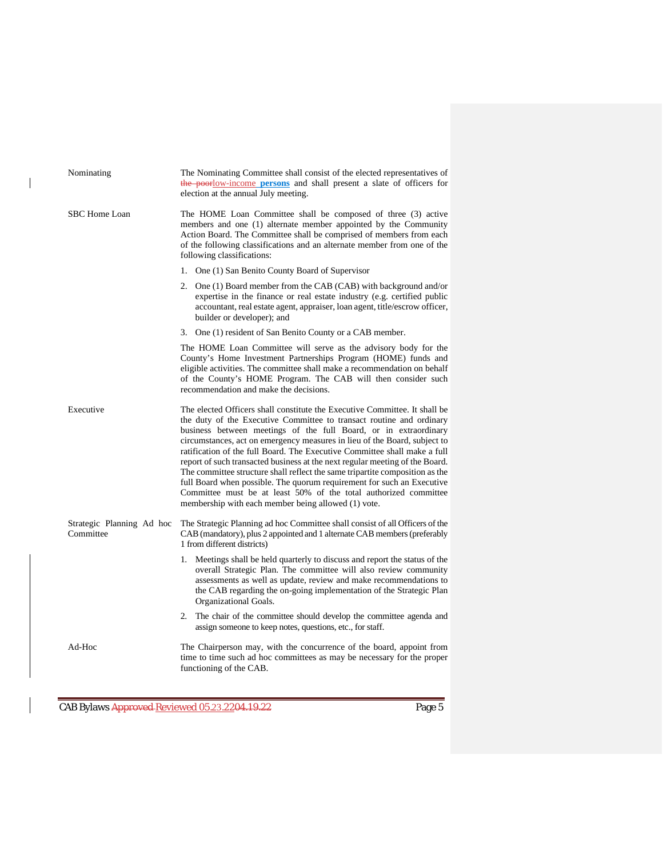| Nominating                             | The Nominating Committee shall consist of the elected representatives of<br>the poorlow-income persons and shall present a slate of officers for<br>election at the annual July meeting.                                                                                                                                                                                                                                                                                                                                                                                                                                                                                                                                                              |  |  |  |
|----------------------------------------|-------------------------------------------------------------------------------------------------------------------------------------------------------------------------------------------------------------------------------------------------------------------------------------------------------------------------------------------------------------------------------------------------------------------------------------------------------------------------------------------------------------------------------------------------------------------------------------------------------------------------------------------------------------------------------------------------------------------------------------------------------|--|--|--|
| <b>SBC Home Loan</b>                   | The HOME Loan Committee shall be composed of three (3) active<br>members and one (1) alternate member appointed by the Community<br>Action Board. The Committee shall be comprised of members from each<br>of the following classifications and an alternate member from one of the<br>following classifications:                                                                                                                                                                                                                                                                                                                                                                                                                                     |  |  |  |
|                                        | 1. One (1) San Benito County Board of Supervisor                                                                                                                                                                                                                                                                                                                                                                                                                                                                                                                                                                                                                                                                                                      |  |  |  |
|                                        | 2. One (1) Board member from the CAB (CAB) with background and/or<br>expertise in the finance or real estate industry (e.g. certified public<br>accountant, real estate agent, appraiser, loan agent, title/escrow officer,<br>builder or developer); and                                                                                                                                                                                                                                                                                                                                                                                                                                                                                             |  |  |  |
|                                        | 3. One (1) resident of San Benito County or a CAB member.                                                                                                                                                                                                                                                                                                                                                                                                                                                                                                                                                                                                                                                                                             |  |  |  |
|                                        | The HOME Loan Committee will serve as the advisory body for the<br>County's Home Investment Partnerships Program (HOME) funds and<br>eligible activities. The committee shall make a recommendation on behalf<br>of the County's HOME Program. The CAB will then consider such<br>recommendation and make the decisions.                                                                                                                                                                                                                                                                                                                                                                                                                              |  |  |  |
| Executive                              | The elected Officers shall constitute the Executive Committee. It shall be<br>the duty of the Executive Committee to transact routine and ordinary<br>business between meetings of the full Board, or in extraordinary<br>circumstances, act on emergency measures in lieu of the Board, subject to<br>ratification of the full Board. The Executive Committee shall make a full<br>report of such transacted business at the next regular meeting of the Board.<br>The committee structure shall reflect the same tripartite composition as the<br>full Board when possible. The quorum requirement for such an Executive<br>Committee must be at least 50% of the total authorized committee<br>membership with each member being allowed (1) vote. |  |  |  |
| Strategic Planning Ad hoc<br>Committee | The Strategic Planning ad hoc Committee shall consist of all Officers of the<br>CAB (mandatory), plus 2 appointed and 1 alternate CAB members (preferably<br>1 from different districts)                                                                                                                                                                                                                                                                                                                                                                                                                                                                                                                                                              |  |  |  |
|                                        | 1. Meetings shall be held quarterly to discuss and report the status of the<br>overall Strategic Plan. The committee will also review community<br>assessments as well as update, review and make recommendations to<br>the CAB regarding the on-going implementation of the Strategic Plan<br>Organizational Goals.                                                                                                                                                                                                                                                                                                                                                                                                                                  |  |  |  |
|                                        | 2. The chair of the committee should develop the committee agenda and<br>assign someone to keep notes, questions, etc., for staff.                                                                                                                                                                                                                                                                                                                                                                                                                                                                                                                                                                                                                    |  |  |  |
| Ad-Hoc                                 | The Chairperson may, with the concurrence of the board, appoint from<br>time to time such ad hoc committees as may be necessary for the proper<br>functioning of the CAB.                                                                                                                                                                                                                                                                                                                                                                                                                                                                                                                                                                             |  |  |  |

CAB Bylaws Approved Reviewed 05.23.2204.19.22

 $\begin{array}{c} \rule{0pt}{2ex} \rule{0pt}{2ex} \rule{0pt}{2ex} \rule{0pt}{2ex} \rule{0pt}{2ex} \rule{0pt}{2ex} \rule{0pt}{2ex} \rule{0pt}{2ex} \rule{0pt}{2ex} \rule{0pt}{2ex} \rule{0pt}{2ex} \rule{0pt}{2ex} \rule{0pt}{2ex} \rule{0pt}{2ex} \rule{0pt}{2ex} \rule{0pt}{2ex} \rule{0pt}{2ex} \rule{0pt}{2ex} \rule{0pt}{2ex} \rule{0pt}{2ex} \rule{0pt}{2ex} \rule{0pt}{2ex} \rule{0pt}{2ex} \rule{0pt}{$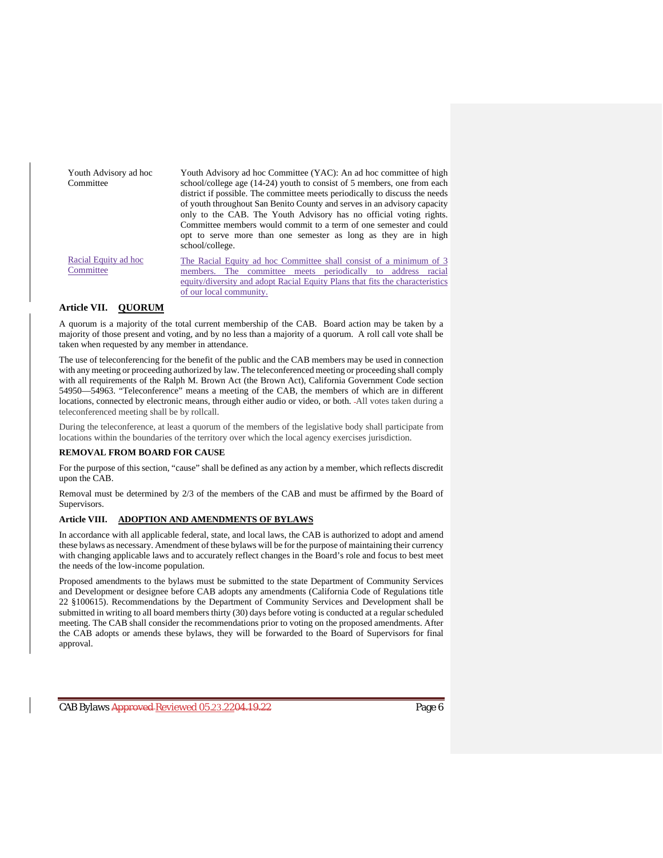| Youth Advisory ad hoc<br>Committee | Youth Advisory ad hoc Committee (YAC): An ad hoc committee of high<br>school/college age $(14-24)$ youth to consist of 5 members, one from each<br>district if possible. The committee meets periodically to discuss the needs<br>of youth throughout San Benito County and serves in an advisory capacity<br>only to the CAB. The Youth Advisory has no official voting rights.<br>Committee members would commit to a term of one semester and could<br>opt to serve more than one semester as long as they are in high<br>school/college. |
|------------------------------------|----------------------------------------------------------------------------------------------------------------------------------------------------------------------------------------------------------------------------------------------------------------------------------------------------------------------------------------------------------------------------------------------------------------------------------------------------------------------------------------------------------------------------------------------|
| Racial Equity ad hoc<br>Committee  | The Racial Equity ad hoc Committee shall consist of a minimum of 3<br>committee meets periodically to address<br>racial<br>members.<br>The<br>equity/diversity and adopt Racial Equity Plans that fits the characteristics<br>of our local community.                                                                                                                                                                                                                                                                                        |

#### **Article VII. QUORUM**

A quorum is a majority of the total current membership of the CAB. Board action may be taken by a majority of those present and voting, and by no less than a majority of a quorum. A roll call vote shall be taken when requested by any member in attendance.

The use of teleconferencing for the benefit of the public and the CAB members may be used in connection with any meeting or proceeding authorized by law. The teleconferenced meeting or proceeding shall comply with all requirements of the Ralph M. Brown Act (the Brown Act), California Government Code section 54950—54963. "Teleconference" means a meeting of the CAB, the members of which are in different locations, connected by electronic means, through either audio or video, or both. All votes taken during a teleconferenced meeting shall be by rollcall.

During the teleconference, at least a quorum of the members of the legislative body shall participate from locations within the boundaries of the territory over which the local agency exercises jurisdiction.

#### **REMOVAL FROM BOARD FOR CAUSE**

For the purpose of this section, "cause" shall be defined as any action by a member, which reflects discredit upon the CAB.

Removal must be determined by 2/3 of the members of the CAB and must be affirmed by the Board of Supervisors.

#### **Article VIII. ADOPTION AND AMENDMENTS OF BYLAWS**

In accordance with all applicable federal, state, and local laws, the CAB is authorized to adopt and amend these bylaws as necessary. Amendment of these bylaws will be for the purpose of maintaining their currency with changing applicable laws and to accurately reflect changes in the Board's role and focus to best meet the needs of the low-income population.

Proposed amendments to the bylaws must be submitted to the state Department of Community Services and Development or designee before CAB adopts any amendments (California Code of Regulations title 22 §100615). Recommendations by the Department of Community Services and Development shall be submitted in writing to all board members thirty (30) days before voting is conducted at a regular scheduled meeting. The CAB shall consider the recommendations prior to voting on the proposed amendments. After the CAB adopts or amends these bylaws, they will be forwarded to the Board of Supervisors for final approval.

CAB Bylaws <del>Approved Reviewed 05.23.2204.19.22</del> Page 6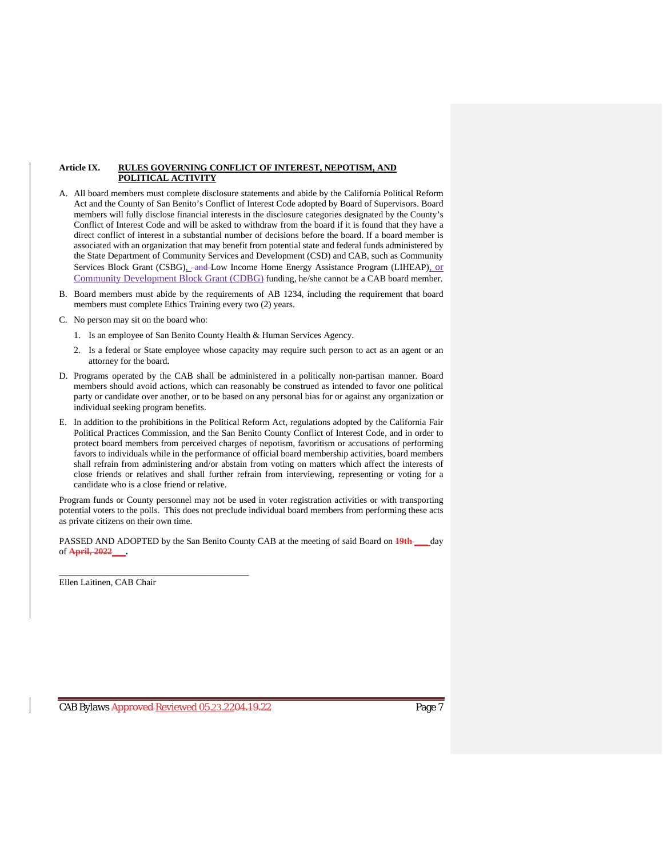#### **Article IX. RULES GOVERNING CONFLICT OF INTEREST, NEPOTISM, AND POLITICAL ACTIVITY**

- A. All board members must complete disclosure statements and abide by the California Political Reform Act and the County of San Benito's Conflict of Interest Code adopted by Board of Supervisors. Board members will fully disclose financial interests in the disclosure categories designated by the County's Conflict of Interest Code and will be asked to withdraw from the board if it is found that they have a direct conflict of interest in a substantial number of decisions before the board. If a board member is associated with an organization that may benefit from potential state and federal funds administered by the State Department of Community Services and Development (CSD) and CAB, such as Community Services Block Grant (CSBG), and Low Income Home Energy Assistance Program (LIHEAP), or Community Development Block Grant (CDBG) funding, he/she cannot be a CAB board member.
- B. Board members must abide by the requirements of AB 1234, including the requirement that board members must complete Ethics Training every two (2) years.
- C. No person may sit on the board who:
	- 1. Is an employee of San Benito County Health & Human Services Agency.
	- 2. Is a federal or State employee whose capacity may require such person to act as an agent or an attorney for the board.
- D. Programs operated by the CAB shall be administered in a politically non-partisan manner. Board members should avoid actions, which can reasonably be construed as intended to favor one political party or candidate over another, or to be based on any personal bias for or against any organization or individual seeking program benefits.
- E. In addition to the prohibitions in the Political Reform Act, regulations adopted by the California Fair Political Practices Commission, and the San Benito County Conflict of Interest Code, and in order to protect board members from perceived charges of nepotism, favoritism or accusations of performing favors to individuals while in the performance of official board membership activities, board members shall refrain from administering and/or abstain from voting on matters which affect the interests of close friends or relatives and shall further refrain from interviewing, representing or voting for a candidate who is a close friend or relative.

Program funds or County personnel may not be used in voter registration activities or with transporting potential voters to the polls. This does not preclude individual board members from performing these acts as private citizens on their own time.

PASSED AND ADOPTED by the San Benito County CAB at the meeting of said Board on **19th \_\_\_** day of **April, 2022\_\_\_.**

Ellen Laitinen, CAB Chair

\_\_\_\_\_\_\_\_\_\_\_\_\_\_\_\_\_\_\_\_\_\_\_\_\_\_\_\_\_\_\_\_\_\_\_\_\_\_\_\_\_\_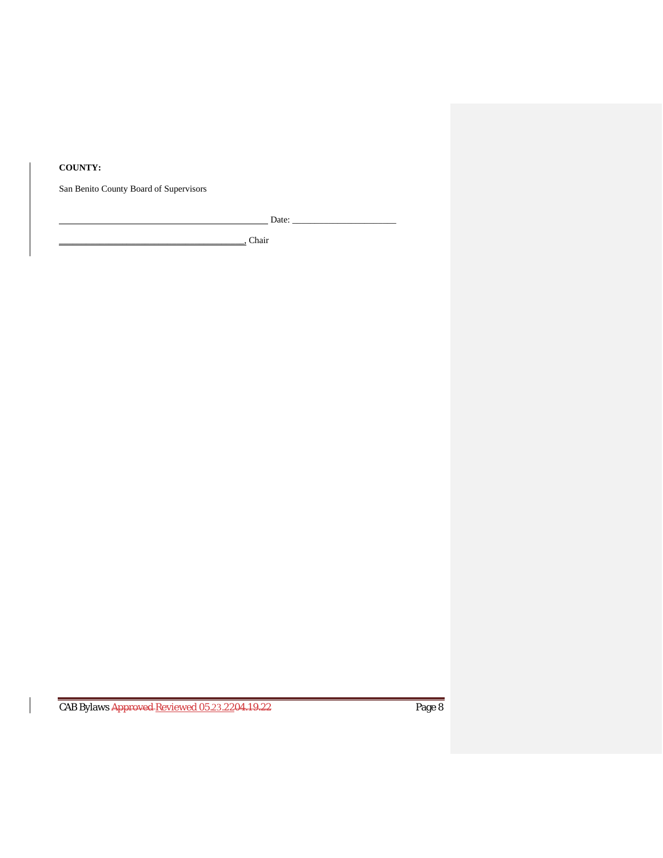### **COUNTY:**

San Benito County Board of Supervisors

Date: \_\_\_\_\_\_\_\_\_\_\_\_\_\_\_\_\_\_\_\_\_\_\_

\_\_\_\_\_\_\_\_\_\_\_\_\_\_\_\_\_\_\_\_\_\_\_\_\_\_\_\_\_\_\_\_\_\_\_\_\_\_\_\_\_, Chair

CAB Bylaws Approved Reviewed 05.23.2204.19.22 Page 8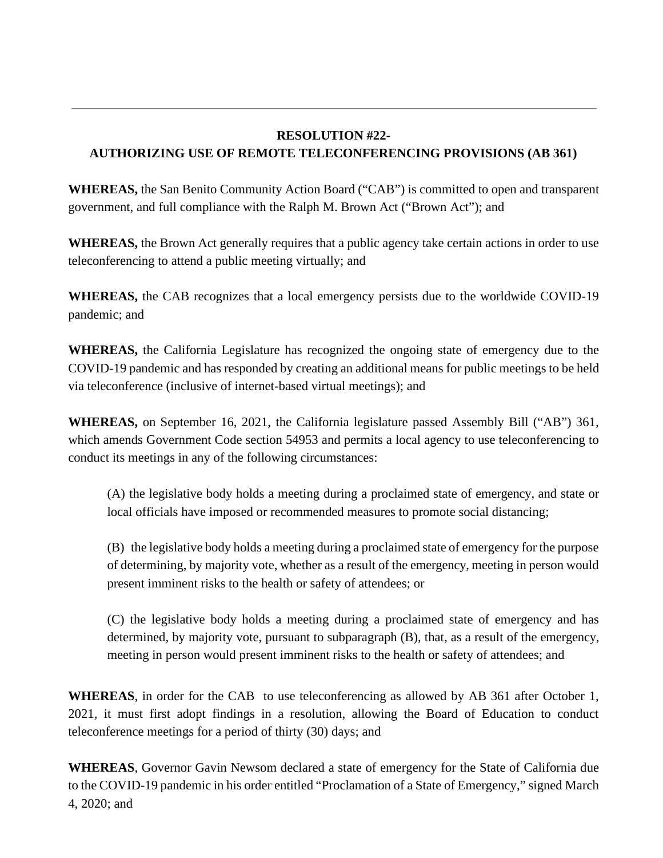# **RESOLUTION #22- AUTHORIZING USE OF REMOTE TELECONFERENCING PROVISIONS (AB 361)**

**WHEREAS,** the San Benito Community Action Board ("CAB") is committed to open and transparent government, and full compliance with the Ralph M. Brown Act ("Brown Act"); and

**WHEREAS,** the Brown Act generally requires that a public agency take certain actions in order to use teleconferencing to attend a public meeting virtually; and

**WHEREAS,** the CAB recognizes that a local emergency persists due to the worldwide COVID-19 pandemic; and

**WHEREAS,** the California Legislature has recognized the ongoing state of emergency due to the COVID-19 pandemic and has responded by creating an additional means for public meetings to be held via teleconference (inclusive of internet-based virtual meetings); and

**WHEREAS,** on September 16, 2021, the California legislature passed Assembly Bill ("AB") 361, which amends Government Code section 54953 and permits a local agency to use teleconferencing to conduct its meetings in any of the following circumstances:

(A) the legislative body holds a meeting during a proclaimed state of emergency, and state or local officials have imposed or recommended measures to promote social distancing;

(B) the legislative body holds a meeting during a proclaimed state of emergency for the purpose of determining, by majority vote, whether as a result of the emergency, meeting in person would present imminent risks to the health or safety of attendees; or

(C) the legislative body holds a meeting during a proclaimed state of emergency and has determined, by majority vote, pursuant to subparagraph (B), that, as a result of the emergency, meeting in person would present imminent risks to the health or safety of attendees; and

**WHEREAS**, in order for the CAB to use teleconferencing as allowed by AB 361 after October 1, 2021, it must first adopt findings in a resolution, allowing the Board of Education to conduct teleconference meetings for a period of thirty (30) days; and

**WHEREAS**, Governor Gavin Newsom declared a state of emergency for the State of California due to the COVID-19 pandemic in his order entitled "Proclamation of a State of Emergency," signed March 4, 2020; and